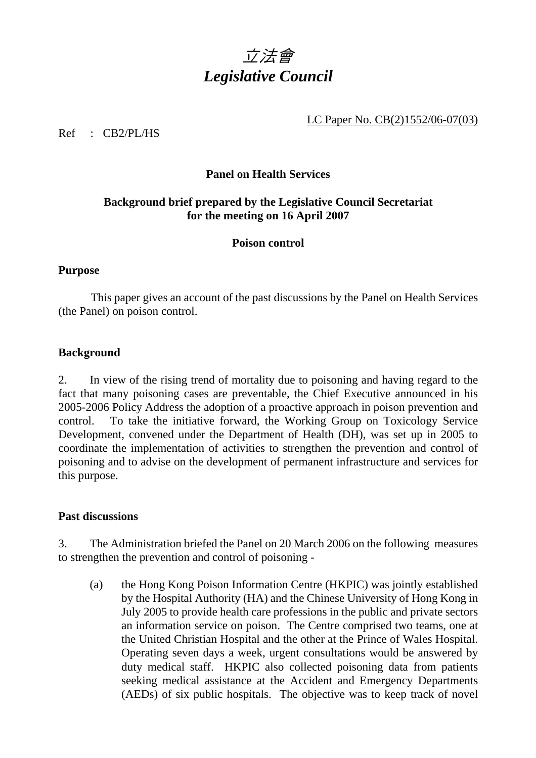

LC Paper No. CB(2)1552/06-07(03)

Ref : CB2/PL/HS

## **Panel on Health Services**

## **Background brief prepared by the Legislative Council Secretariat for the meeting on 16 April 2007**

# **Poison control**

#### **Purpose**

 This paper gives an account of the past discussions by the Panel on Health Services (the Panel) on poison control.

#### **Background**

2. In view of the rising trend of mortality due to poisoning and having regard to the fact that many poisoning cases are preventable, the Chief Executive announced in his 2005-2006 Policy Address the adoption of a proactive approach in poison prevention and control. To take the initiative forward, the Working Group on Toxicology Service Development, convened under the Department of Health (DH), was set up in 2005 to coordinate the implementation of activities to strengthen the prevention and control of poisoning and to advise on the development of permanent infrastructure and services for this purpose.

#### **Past discussions**

3. The Administration briefed the Panel on 20 March 2006 on the following measures to strengthen the prevention and control of poisoning -

 (a) the Hong Kong Poison Information Centre (HKPIC) was jointly established by the Hospital Authority (HA) and the Chinese University of Hong Kong in July 2005 to provide health care professions in the public and private sectors an information service on poison. The Centre comprised two teams, one at the United Christian Hospital and the other at the Prince of Wales Hospital. Operating seven days a week, urgent consultations would be answered by duty medical staff. HKPIC also collected poisoning data from patients seeking medical assistance at the Accident and Emergency Departments (AEDs) of six public hospitals. The objective was to keep track of novel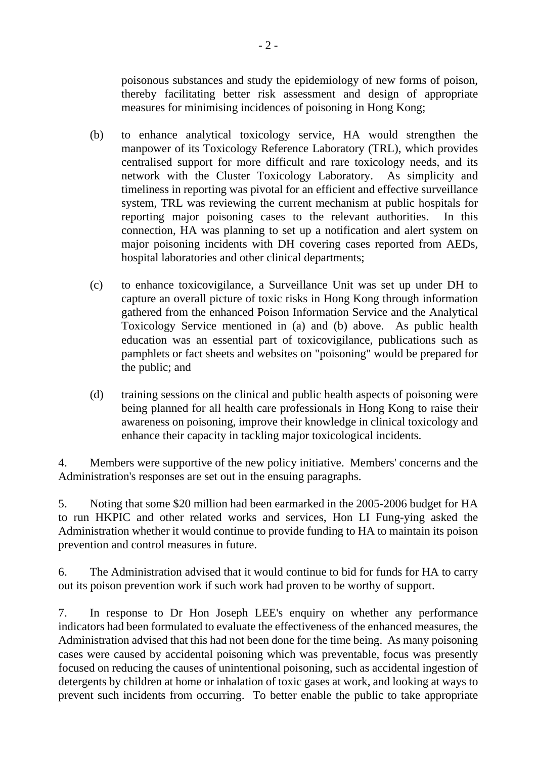poisonous substances and study the epidemiology of new forms of poison, thereby facilitating better risk assessment and design of appropriate measures for minimising incidences of poisoning in Hong Kong;

- (b) to enhance analytical toxicology service, HA would strengthen the manpower of its Toxicology Reference Laboratory (TRL), which provides centralised support for more difficult and rare toxicology needs, and its network with the Cluster Toxicology Laboratory. As simplicity and timeliness in reporting was pivotal for an efficient and effective surveillance system, TRL was reviewing the current mechanism at public hospitals for reporting major poisoning cases to the relevant authorities. In this connection, HA was planning to set up a notification and alert system on major poisoning incidents with DH covering cases reported from AEDs, hospital laboratories and other clinical departments;
- (c) to enhance toxicovigilance, a Surveillance Unit was set up under DH to capture an overall picture of toxic risks in Hong Kong through information gathered from the enhanced Poison Information Service and the Analytical Toxicology Service mentioned in (a) and (b) above. As public health education was an essential part of toxicovigilance, publications such as pamphlets or fact sheets and websites on "poisoning" would be prepared for the public; and
- (d) training sessions on the clinical and public health aspects of poisoning were being planned for all health care professionals in Hong Kong to raise their awareness on poisoning, improve their knowledge in clinical toxicology and enhance their capacity in tackling major toxicological incidents.

4. Members were supportive of the new policy initiative. Members' concerns and the Administration's responses are set out in the ensuing paragraphs.

5. Noting that some \$20 million had been earmarked in the 2005-2006 budget for HA to run HKPIC and other related works and services, Hon LI Fung-ying asked the Administration whether it would continue to provide funding to HA to maintain its poison prevention and control measures in future.

6. The Administration advised that it would continue to bid for funds for HA to carry out its poison prevention work if such work had proven to be worthy of support.

7. In response to Dr Hon Joseph LEE's enquiry on whether any performance indicators had been formulated to evaluate the effectiveness of the enhanced measures, the Administration advised that this had not been done for the time being. As many poisoning cases were caused by accidental poisoning which was preventable, focus was presently focused on reducing the causes of unintentional poisoning, such as accidental ingestion of detergents by children at home or inhalation of toxic gases at work, and looking at ways to prevent such incidents from occurring. To better enable the public to take appropriate